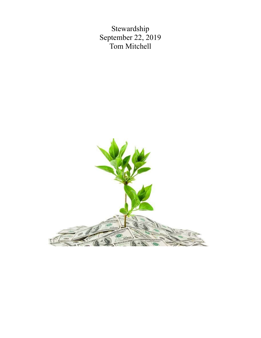Stewardship September 22, 2019 Tom Mitchell

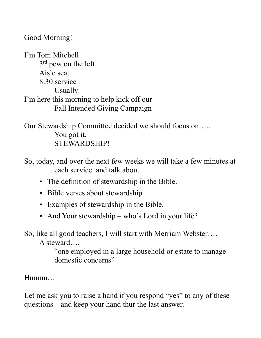Good Morning!

I'm Tom Mitchell 3<sup>rd</sup> pew on the left Aisle seat 8:30 service Usually I'm here this morning to help kick off our Fall Intended Giving Campaign

Our Stewardship Committee decided we should focus on….. You got it, STEWARDSHIP!

So, today, and over the next few weeks we will take a few minutes at each service and talk about

- The definition of stewardship in the Bible.
- Bible verses about stewardship.
- Examples of stewardship in the Bible.
- And Your stewardship who's Lord in your life?

So, like all good teachers, I will start with Merriam Webster….

A steward….

 "one employed in a large household or estate to manage domestic concerns"

Hmmm…

Let me ask you to raise a hand if you respond "yes" to any of these questions – and keep your hand thur the last answer.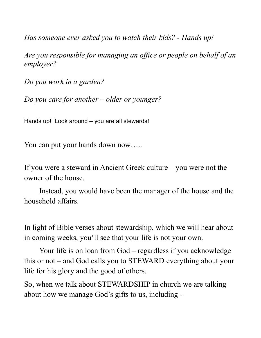Has someone ever asked you to watch their kids? - Hands up!

Are you responsible for managing an office or people on behalf of an employer?

Do you work in a garden?

Do you care for another – older or younger?

Hands up! Look around – you are all stewards!

You can put your hands down now…..

If you were a steward in Ancient Greek culture – you were not the owner of the house.

 Instead, you would have been the manager of the house and the household affairs.

In light of Bible verses about stewardship, which we will hear about in coming weeks, you'll see that your life is not your own.

 Your life is on loan from God – regardless if you acknowledge this or not – and God calls you to STEWARD everything about your life for his glory and the good of others.

So, when we talk about STEWARDSHIP in church we are talking about how we manage God's gifts to us, including -